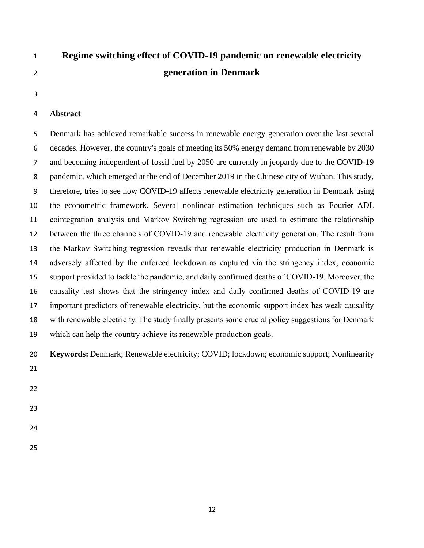# **Regime switching effect of COVID-19 pandemic on renewable electricity generation in Denmark**

# **Abstract**

 Denmark has achieved remarkable success in renewable energy generation over the last several decades. However, the country's goals of meeting its 50% energy demand from renewable by 2030 and becoming independent of fossil fuel by 2050 are currently in jeopardy due to the COVID-19 pandemic, which emerged at the end of December 2019 in the Chinese city of Wuhan. This study, therefore, tries to see how COVID-19 affects renewable electricity generation in Denmark using the econometric framework. Several nonlinear estimation techniques such as Fourier ADL cointegration analysis and Markov Switching regression are used to estimate the relationship between the three channels of COVID-19 and renewable electricity generation. The result from the Markov Switching regression reveals that renewable electricity production in Denmark is adversely affected by the enforced lockdown as captured via the stringency index, economic support provided to tackle the pandemic, and daily confirmed deaths of COVID-19. Moreover, the causality test shows that the stringency index and daily confirmed deaths of COVID-19 are important predictors of renewable electricity, but the economic support index has weak causality with renewable electricity. The study finally presents some crucial policy suggestions for Denmark which can help the country achieve its renewable production goals.

**Keywords:** Denmark; Renewable electricity; COVID; lockdown; economic support; Nonlinearity

- 
- 
- 
- 
- 
-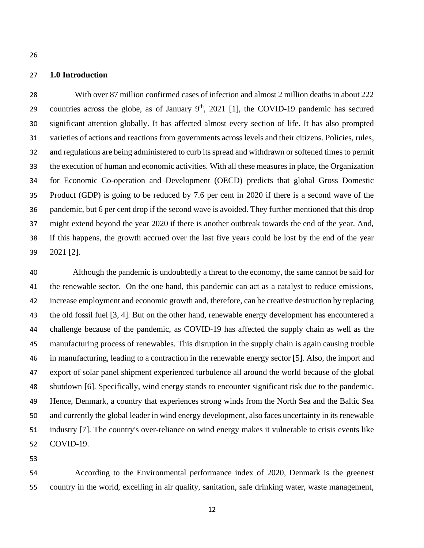# **1.0 Introduction**

 With over 87 million confirmed cases of infection and almost 2 million deaths in about 222 countries across the globe, as of January  $9<sup>th</sup>$ , 2021 [1], the COVID-19 pandemic has secured significant attention globally. It has affected almost every section of life. It has also prompted varieties of actions and reactions from governments across levels and their citizens. Policies, rules, and regulations are being administered to curb its spread and withdrawn or softened times to permit the execution of human and economic activities. With all these measures in place, the Organization for Economic Co-operation and Development (OECD) predicts that global Gross Domestic Product (GDP) is going to be reduced by 7.6 per cent in 2020 if there is a second wave of the pandemic, but 6 per cent drop if the second wave is avoided. They further mentioned that this drop might extend beyond the year 2020 if there is another outbreak towards the end of the year. And, if this happens, the growth accrued over the last five years could be lost by the end of the year 2021 [2].

 Although the pandemic is undoubtedly a threat to the economy, the same cannot be said for the renewable sector. On the one hand, this pandemic can act as a catalyst to reduce emissions, increase employment and economic growth and, therefore, can be creative destruction by replacing the old fossil fuel [3, 4]. But on the other hand, renewable energy development has encountered a challenge because of the pandemic, as COVID-19 has affected the supply chain as well as the manufacturing process of renewables. This disruption in the supply chain is again causing trouble in manufacturing, leading to a contraction in the renewable energy sector [5]. Also, the import and export of solar panel shipment experienced turbulence all around the world because of the global shutdown [6]. Specifically, wind energy stands to encounter significant risk due to the pandemic. Hence, Denmark, a country that experiences strong winds from the North Sea and the Baltic Sea and currently the global leader in wind energy development, also faces uncertainty in its renewable industry [7]. The country's over-reliance on wind energy makes it vulnerable to crisis events like COVID-19.

 According to the Environmental performance index of 2020, Denmark is the greenest country in the world, excelling in air quality, sanitation, safe drinking water, waste management,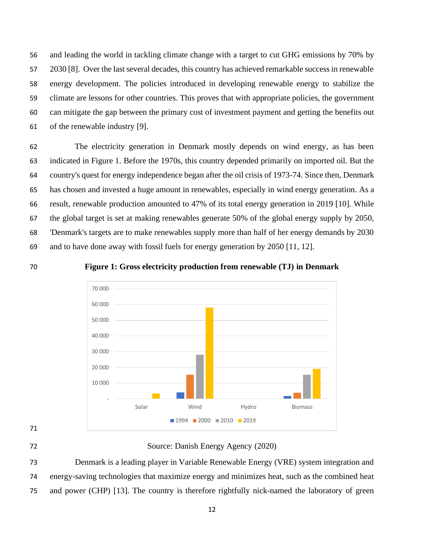and leading the world in tackling climate change with a target to cut GHG emissions by 70% by 2030 [8]. Over the last several decades, this country has achieved remarkable success in renewable energy development. The policies introduced in developing renewable energy to stabilize the climate are lessons for other countries. This proves that with appropriate policies, the government can mitigate the gap between the primary cost of investment payment and getting the benefits out of the renewable industry [9].

 The electricity generation in Denmark mostly depends on wind energy, as has been indicated in Figure 1. Before the 1970s, this country depended primarily on imported oil. But the country's quest for energy independence began after the oil crisis of 1973-74. Since then, Denmark has chosen and invested a huge amount in renewables, especially in wind energy generation. As a result, renewable production amounted to 47% of its total energy generation in 2019 [10]. While the global target is set at making renewables generate 50% of the global energy supply by 2050, 'Denmark's targets are to make renewables supply more than half of her energy demands by 2030 and to have done away with fossil fuels for energy generation by 2050 [11, 12].



**Figure 1: Gross electricity production from renewable (TJ) in Denmark**



- 
- 

Source: Danish Energy Agency (2020)

 Denmark is a leading player in Variable Renewable Energy (VRE) system integration and energy-saving technologies that maximize energy and minimizes heat, such as the combined heat and power (CHP) [13]. The country is therefore rightfully nick-named the laboratory of green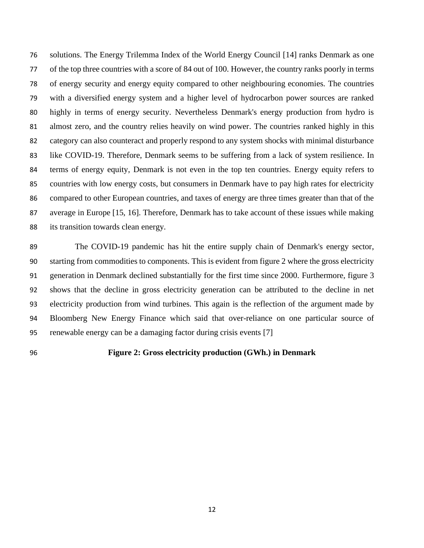solutions. The Energy Trilemma Index of the World Energy Council [14] ranks Denmark as one of the top three countries with a score of 84 out of 100. However, the country ranks poorly in terms of energy security and energy equity compared to other neighbouring economies. The countries with a diversified energy system and a higher level of hydrocarbon power sources are ranked highly in terms of energy security. Nevertheless Denmark's energy production from hydro is almost zero, and the country relies heavily on wind power. The countries ranked highly in this category can also counteract and properly respond to any system shocks with minimal disturbance like COVID-19. Therefore, Denmark seems to be suffering from a lack of system resilience. In terms of energy equity, Denmark is not even in the top ten countries. Energy equity refers to countries with low energy costs, but consumers in Denmark have to pay high rates for electricity compared to other European countries, and taxes of energy are three times greater than that of the average in Europe [15, 16]. Therefore, Denmark has to take account of these issues while making its transition towards clean energy.

 The COVID-19 pandemic has hit the entire supply chain of Denmark's energy sector, starting from commodities to components. This is evident from figure 2 where the gross electricity generation in Denmark declined substantially for the first time since 2000. Furthermore, figure 3 shows that the decline in gross electricity generation can be attributed to the decline in net electricity production from wind turbines. This again is the reflection of the argument made by Bloomberg New Energy Finance which said that over-reliance on one particular source of renewable energy can be a damaging factor during crisis events [7]

# **Figure 2: Gross electricity production (GWh.) in Denmark**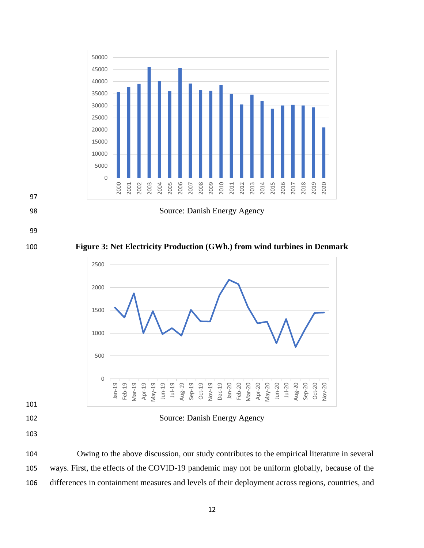

 Owing to the above discussion, our study contributes to the empirical literature in several ways. First, the effects of the COVID-19 pandemic may not be uniform globally, because of the differences in containment measures and levels of their deployment across regions, countries, and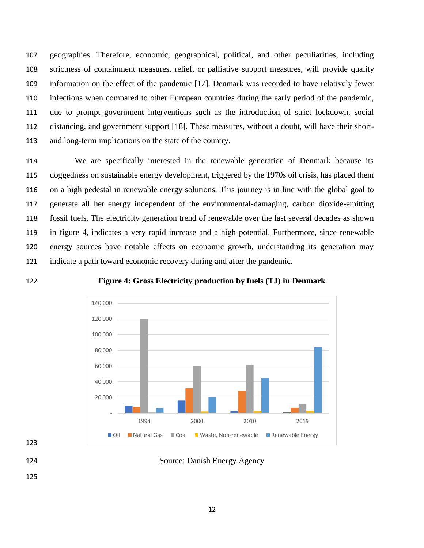geographies. Therefore, economic, geographical, political, and other peculiarities, including strictness of containment measures, relief, or palliative support measures, will provide quality information on the effect of the pandemic [17]. Denmark was recorded to have relatively fewer infections when compared to other European countries during the early period of the pandemic, due to prompt government interventions such as the introduction of strict lockdown, social distancing, and government support [18]. These measures, without a doubt, will have their short-and long-term implications on the state of the country.

 We are specifically interested in the renewable generation of Denmark because its doggedness on sustainable energy development, triggered by the 1970s oil crisis, has placed them on a high pedestal in renewable energy solutions. This journey is in line with the global goal to generate all her energy independent of the environmental-damaging, carbon dioxide-emitting fossil fuels. The electricity generation trend of renewable over the last several decades as shown in figure 4, indicates a very rapid increase and a high potential. Furthermore, since renewable energy sources have notable effects on economic growth, understanding its generation may indicate a path toward economic recovery during and after the pandemic.

**Figure 4: Gross Electricity production by fuels (TJ) in Denmark**



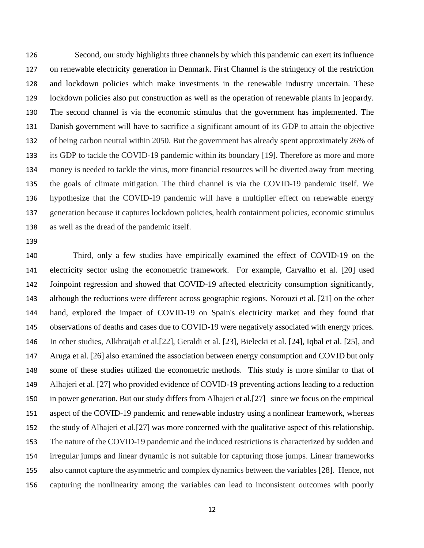Second, our study highlights three channels by which this pandemic can exert its influence on renewable electricity generation in Denmark. First Channel is the stringency of the restriction and lockdown policies which make investments in the renewable industry uncertain. These lockdown policies also put construction as well as the operation of renewable plants in jeopardy. The second channel is via the economic stimulus that the government has implemented. The Danish government will have to sacrifice a significant amount of its GDP to attain the objective of being carbon neutral within 2050. But the government has already spent approximately 26% of its GDP to tackle the COVID-19 pandemic within its boundary [19]. Therefore as more and more money is needed to tackle the virus, more financial resources will be diverted away from meeting the goals of climate mitigation. The third channel is via the COVID-19 pandemic itself. We hypothesize that the COVID-19 pandemic will have a multiplier effect on renewable energy generation because it captures lockdown policies, health containment policies, economic stimulus as well as the dread of the pandemic itself.

 Third, only a few studies have empirically examined the effect of COVID-19 on the electricity sector using the econometric framework. For example, Carvalho et al. [20] used Joinpoint regression and showed that COVID-19 affected electricity consumption significantly, although the reductions were different across geographic regions. Norouzi et al. [21] on the other hand, explored the impact of COVID-19 on Spain's electricity market and they found that observations of deaths and cases due to COVID-19 were negatively associated with energy prices. In other studies, Alkhraijah et al.[22], Geraldi et al. [23], Bielecki et al. [24], Iqbal et al. [25], and Aruga et al. [26] also examined the association between energy consumption and COVID but only some of these studies utilized the econometric methods. This study is more similar to that of Alhajeri et al. [27] who provided evidence of COVID-19 preventing actions leading to a reduction in power generation. But our study differs from Alhajeri et al.[27] since we focus on the empirical aspect of the COVID-19 pandemic and renewable industry using a nonlinear framework, whereas the study of Alhajeri et al.[27] was more concerned with the qualitative aspect of this relationship. The nature of the COVID-19 pandemic and the induced restrictions is characterized by sudden and irregular jumps and linear dynamic is not suitable for capturing those jumps. Linear frameworks also cannot capture the asymmetric and complex dynamics between the variables [28]. Hence, not capturing the nonlinearity among the variables can lead to inconsistent outcomes with poorly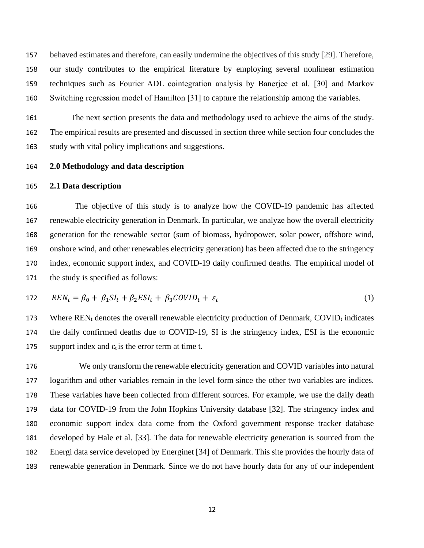behaved estimates and therefore, can easily undermine the objectives of this study [29]. Therefore, our study contributes to the empirical literature by employing several nonlinear estimation techniques such as Fourier ADL cointegration analysis by Banerjee et al. [30] and Markov Switching regression model of Hamilton [31] to capture the relationship among the variables.

 The next section presents the data and methodology used to achieve the aims of the study. The empirical results are presented and discussed in section three while section four concludes the study with vital policy implications and suggestions.

#### **2.0 Methodology and data description**

## **2.1 Data description**

 The objective of this study is to analyze how the COVID-19 pandemic has affected renewable electricity generation in Denmark. In particular, we analyze how the overall electricity generation for the renewable sector (sum of biomass, hydropower, solar power, offshore wind, onshore wind, and other renewables electricity generation) has been affected due to the stringency index, economic support index, and COVID-19 daily confirmed deaths. The empirical model of the study is specified as follows:

$$
172 \t REN_t = \beta_0 + \beta_1 SI_t + \beta_2 ESl_t + \beta_3 COVID_t + \varepsilon_t \t (1)
$$

173 Where  $REN_t$  denotes the overall renewable electricity production of Denmark, COVID<sub>t</sub> indicates the daily confirmed deaths due to COVID-19, SI is the stringency index, ESI is the economic 175 support index and  $\varepsilon_t$  is the error term at time t.

 We only transform the renewable electricity generation and COVID variables into natural logarithm and other variables remain in the level form since the other two variables are indices. These variables have been collected from different sources. For example, we use the daily death data for COVID-19 from the John Hopkins University database [32]. The stringency index and economic support index data come from the Oxford government response tracker database developed by Hale et al. [33]. The data for renewable electricity generation is sourced from the Energi data service developed by Energinet [34] of Denmark. This site provides the hourly data of renewable generation in Denmark. Since we do not have hourly data for any of our independent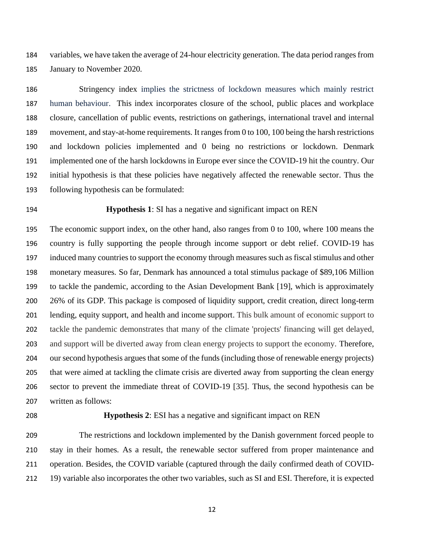variables, we have taken the average of 24-hour electricity generation. The data period ranges from January to November 2020.

 Stringency index implies the strictness of lockdown measures which mainly restrict human behaviour. This index incorporates closure of the school, public places and workplace closure, cancellation of public events, restrictions on gatherings, international travel and internal movement, and stay-at-home requirements. It ranges from 0 to 100, 100 being the harsh restrictions and lockdown policies implemented and 0 being no restrictions or lockdown. Denmark implemented one of the harsh lockdowns in Europe ever since the COVID-19 hit the country. Our initial hypothesis is that these policies have negatively affected the renewable sector. Thus the following hypothesis can be formulated:

# **Hypothesis 1**: SI has a negative and significant impact on REN

 The economic support index, on the other hand, also ranges from 0 to 100, where 100 means the country is fully supporting the people through income support or debt relief. COVID-19 has induced many countries to support the economy through measures such as fiscal stimulus and other monetary measures. So far, Denmark has announced a total stimulus package of \$89,106 Million to tackle the pandemic, according to the Asian Development Bank [19], which is approximately 26% of its GDP. This package is composed of liquidity support, credit creation, direct long-term lending, equity support, and health and income support. This bulk amount of economic support to tackle the pandemic demonstrates that many of the climate 'projects' financing will get delayed, and support will be diverted away from clean energy projects to support the economy. Therefore, our second hypothesis argues that some of the funds (including those of renewable energy projects) that were aimed at tackling the climate crisis are diverted away from supporting the clean energy sector to prevent the immediate threat of COVID-19 [35]. Thus, the second hypothesis can be written as follows:

## **Hypothesis 2**: ESI has a negative and significant impact on REN

 The restrictions and lockdown implemented by the Danish government forced people to stay in their homes. As a result, the renewable sector suffered from proper maintenance and operation. Besides, the COVID variable (captured through the daily confirmed death of COVID-19) variable also incorporates the other two variables, such as SI and ESI. Therefore, it is expected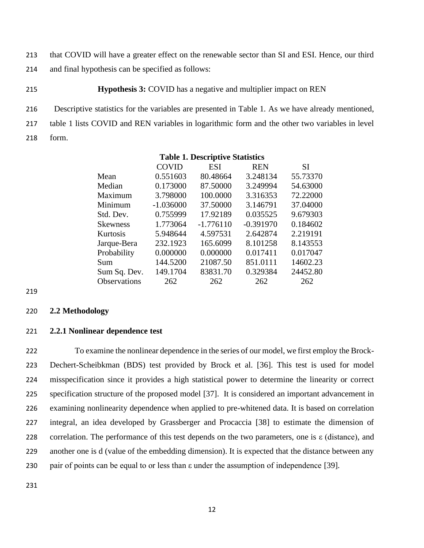213 that COVID will have a greater effect on the renewable sector than SI and ESI. Hence, our third 214 and final hypothesis can be specified as follows:

# 215 **Hypothesis 3:** COVID has a negative and multiplier impact on REN

216 Descriptive statistics for the variables are presented in Table 1. As we have already mentioned, 217 table 1 lists COVID and REN variables in logarithmic form and the other two variables in level 218 form.

|                     | <b>COVID</b> | <b>ESI</b>  | <b>REN</b>  | <b>SI</b> |
|---------------------|--------------|-------------|-------------|-----------|
| Mean                | 0.551603     | 80.48664    | 3.248134    | 55.73370  |
| Median              | 0.173000     | 87.50000    | 3.249994    | 54.63000  |
| Maximum             | 3.798000     | 100.0000    | 3.316353    | 72.22000  |
| Minimum             | $-1.036000$  | 37.50000    | 3.146791    | 37.04000  |
| Std. Dev.           | 0.755999     | 17.92189    | 0.035525    | 9.679303  |
| <b>Skewness</b>     | 1.773064     | $-1.776110$ | $-0.391970$ | 0.184602  |
| Kurtosis            | 5.948644     | 4.597531    | 2.642874    | 2.219191  |
| Jarque-Bera         | 232.1923     | 165.6099    | 8.101258    | 8.143553  |
| Probability         | 0.000000     | 0.000000    | 0.017411    | 0.017047  |
| Sum                 | 144.5200     | 21087.50    | 851.0111    | 14602.23  |
| Sum Sq. Dev.        | 149.1704     | 83831.70    | 0.329384    | 24452.80  |
| <b>Observations</b> | 262          | 262         | 262         | 262       |
|                     |              |             |             |           |

**Table 1. Descriptive Statistics**

#### 219

#### 220 **2.2 Methodology**

# 221 **2.2.1 Nonlinear dependence test**

 To examine the nonlinear dependence in the series of our model, we first employ the Brock- Dechert-Scheibkman (BDS) test provided by Brock et al. [36]. This test is used for model misspecification since it provides a high statistical power to determine the linearity or correct specification structure of the proposed model [37]. It is considered an important advancement in examining nonlinearity dependence when applied to pre-whitened data. It is based on correlation integral, an idea developed by Grassberger and Procaccia [38] to estimate the dimension of correlation. The performance of this test depends on the two parameters, one is ε (distance), and another one is d (value of the embedding dimension). It is expected that the distance between any pair of points can be equal to or less than ε under the assumption of independence [39].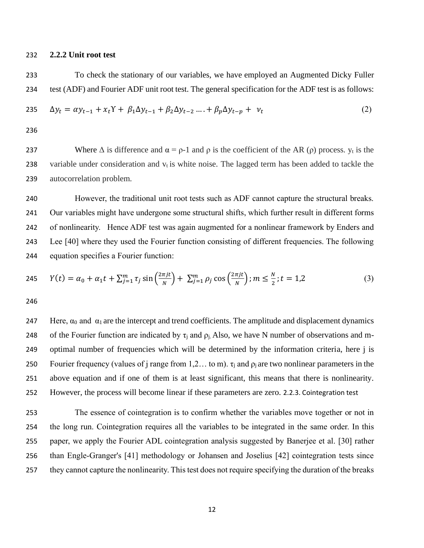# 232 **2.2.2 Unit root test**

233 To check the stationary of our variables, we have employed an Augmented Dicky Fuller 234 test (ADF) and Fourier ADF unit root test. The general specification for the ADF test is as follows:

$$
235 \quad \Delta y_t = \alpha y_{t-1} + x_t Y + \beta_1 \Delta y_{t-1} + \beta_2 \Delta y_{t-2} \dots + \beta_p \Delta y_{t-p} + \nu_t \tag{2}
$$

236

237 Where  $\Delta$  is difference and  $\alpha = \rho - 1$  and  $\rho$  is the coefficient of the AR ( $\rho$ ) process.  $y_t$  is the 238 variable under consideration and  $v_t$  is white noise. The lagged term has been added to tackle the 239 autocorrelation problem.

 However, the traditional unit root tests such as ADF cannot capture the structural breaks. Our variables might have undergone some structural shifts, which further result in different forms of nonlinearity. Hence ADF test was again augmented for a nonlinear framework by Enders and Lee [40] where they used the Fourier function consisting of different frequencies. The following equation specifies a Fourier function:

245 
$$
Y(t) = \alpha_0 + \alpha_1 t + \sum_{j=1}^{m} \tau_j \sin\left(\frac{2\pi j t}{N}\right) + \sum_{j=1}^{m} \rho_j \cos\left(\frac{2\pi j t}{N}\right); m \leq \frac{N}{2}; t = 1, 2
$$
 (3)

246

247 Here,  $α_0$  and  $α_1$  are the intercept and trend coefficients. The amplitude and displacement dynamics 248 of the Fourier function are indicated by  $\tau_i$  and  $\rho_i$ . Also, we have N number of observations and m-249 optimal number of frequencies which will be determined by the information criteria, here j is 250 Fourier frequency (values of j range from 1,2... to m).  $\tau_i$  and  $\rho_i$  are two nonlinear parameters in the 251 above equation and if one of them is at least significant, this means that there is nonlinearity. 252 However, the process will become linear if these parameters are zero. 2.2.3. Cointegration test

 The essence of cointegration is to confirm whether the variables move together or not in the long run. Cointegration requires all the variables to be integrated in the same order. In this paper, we apply the Fourier ADL cointegration analysis suggested by Banerjee et al. [30] rather than Engle-Granger's [41] methodology or Johansen and Joselius [42] cointegration tests since they cannot capture the nonlinearity. This test does not require specifying the duration of the breaks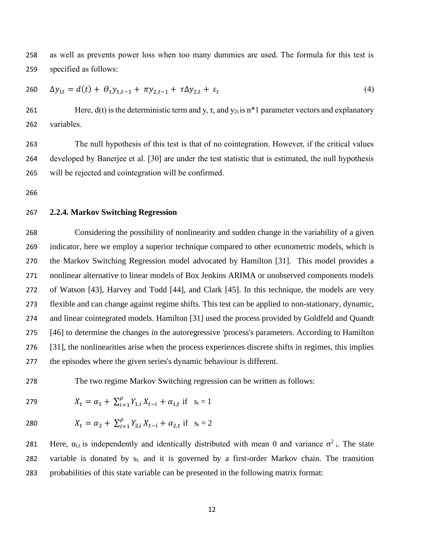as well as prevents power loss when too many dummies are used. The formula for this test is specified as follows:

$$
260 \t \Delta y_{1t} = d(t) + \theta_1 y_{1,t-1} + \pi y_{2,t-1} + \tau \Delta y_{2,t} + \varepsilon_t \t\t(4)
$$

261 Here,  $d(t)$  is the deterministic term and y,  $\tau$ , and  $y_{2t}$  is n<sup>\*</sup>1 parameter vectors and explanatory variables.

 The null hypothesis of this test is that of no cointegration. However, if the critical values developed by Banerjee et al. [30] are under the test statistic that is estimated, the null hypothesis will be rejected and cointegration will be confirmed.

# **2.2.4. Markov Switching Regression**

 Considering the possibility of nonlinearity and sudden change in the variability of a given indicator, here we employ a superior technique compared to other econometric models, which is the Markov Switching Regression model advocated by Hamilton [31]. This model provides a nonlinear alternative to linear models of Box Jenkins ARIMA or unobserved components models of Watson [43], Harvey and Todd [44], and Clark [45]. In this technique, the models are very flexible and can change against regime shifts. This test can be applied to non-stationary, dynamic, and linear cointegrated models. Hamilton [31] used the process provided by Goldfeld and Quandt [46] to determine the changes in the autoregressive 'process's parameters. According to Hamilton [31], the nonlinearities arise when the process experiences discrete shifts in regimes, this implies the episodes where the given series's dynamic behaviour is different.

The two regime Markov Switching regression can be written as follows:

279  $X_t = \alpha_1 + \sum_{i=1}^{\rho} Y_{1,i} X_{t-i} + \alpha_{1,t} \text{ if } s_t = 1$ 

280 
$$
X_t = \alpha_2 + \sum_{i=1}^{\rho} Y_{2,i} X_{t-i} + \alpha_{2,t} \text{ if } s_t = 2
$$

281 Here,  $α_{i,t}$  is independently and identically distributed with mean 0 and variance  $σ<sup>2</sup>$ . The state 282 variable is donated by  $s_t$ , and it is governed by a first-order Markov chain. The transition probabilities of this state variable can be presented in the following matrix format: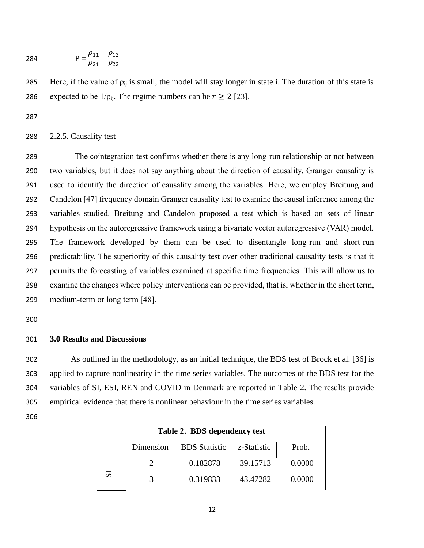284 
$$
P = \frac{\rho_{11}}{\rho_{21}} \frac{\rho_{12}}{\rho_{22}}
$$

285 Here, if the value of  $\rho_{ij}$  is small, the model will stay longer in state i. The duration of this state is 286 expected to be  $1/\rho_{ii}$ . The regime numbers can be  $r \ge 2$  [23].

# 2.2.5. Causality test

 The cointegration test confirms whether there is any long-run relationship or not between two variables, but it does not say anything about the direction of causality. Granger causality is used to identify the direction of causality among the variables. Here, we employ Breitung and Candelon [47] frequency domain Granger causality test to examine the causal inference among the variables studied. Breitung and Candelon proposed a test which is based on sets of linear hypothesis on the autoregressive framework using a bivariate vector autoregressive (VAR) model. The framework developed by them can be used to disentangle long-run and short-run predictability. The superiority of this causality test over other traditional causality tests is that it permits the forecasting of variables examined at specific time frequencies. This will allow us to examine the changes where policy interventions can be provided, that is, whether in the short term, medium-term or long term [48].

# **3.0 Results and Discussions**

 As outlined in the methodology, as an initial technique, the BDS test of Brock et al. [36] is applied to capture nonlinearity in the time series variables. The outcomes of the BDS test for the variables of SI, ESI, REN and COVID in Denmark are reported in Table 2. The results provide empirical evidence that there is nonlinear behaviour in the time series variables.

| Table 2. BDS dependency test |                                                           |          |          |        |  |  |  |
|------------------------------|-----------------------------------------------------------|----------|----------|--------|--|--|--|
|                              | <b>BDS</b> Statistic<br>Prob.<br>Dimension<br>z-Statistic |          |          |        |  |  |  |
|                              |                                                           | 0.182878 | 39.15713 | 0.0000 |  |  |  |
| 51                           |                                                           | 0.319833 | 43.47282 | 0.0000 |  |  |  |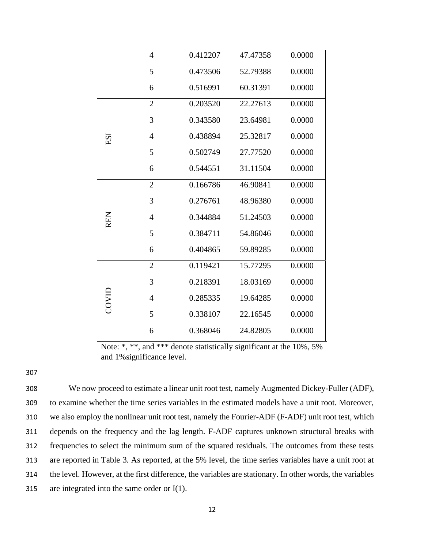|            | 4              | 0.412207 | 47.47358 | 0.0000 |
|------------|----------------|----------|----------|--------|
|            | 5              | 0.473506 | 52.79388 | 0.0000 |
|            | 6              | 0.516991 | 60.31391 | 0.0000 |
|            | $\overline{2}$ | 0.203520 | 22.27613 | 0.0000 |
|            | 3              | 0.343580 | 23.64981 | 0.0000 |
| ESI        | 4              | 0.438894 | 25.32817 | 0.0000 |
|            | 5              | 0.502749 | 27.77520 | 0.0000 |
|            | 6              | 0.544551 | 31.11504 | 0.0000 |
|            | $\overline{2}$ | 0.166786 | 46.90841 | 0.0000 |
|            | 3              | 0.276761 | 48.96380 | 0.0000 |
| <b>REN</b> | 4              | 0.344884 | 51.24503 | 0.0000 |
|            | 5              | 0.384711 | 54.86046 | 0.0000 |
|            | 6              | 0.404865 | 59.89285 | 0.0000 |
|            | $\overline{2}$ | 0.119421 | 15.77295 | 0.0000 |
|            | 3              | 0.218391 | 18.03169 | 0.0000 |
| COVID      | $\overline{4}$ | 0.285335 | 19.64285 | 0.0000 |
|            | 5              | 0.338107 | 22.16545 | 0.0000 |
|            | 6              | 0.368046 | 24.82805 | 0.0000 |

Note: \*, \*\*, and \*\*\* denote statistically significant at the 10%, 5% and 1%significance level.

 We now proceed to estimate a linear unit root test, namely Augmented Dickey-Fuller (ADF), to examine whether the time series variables in the estimated models have a unit root. Moreover, we also employ the nonlinear unit root test, namely the Fourier-ADF (F-ADF) unit root test, which depends on the frequency and the lag length. F-ADF captures unknown structural breaks with frequencies to select the minimum sum of the squared residuals. The outcomes from these tests are reported in Table 3. As reported, at the 5% level, the time series variables have a unit root at the level. However, at the first difference, the variables are stationary. In other words, the variables are integrated into the same order or I(1).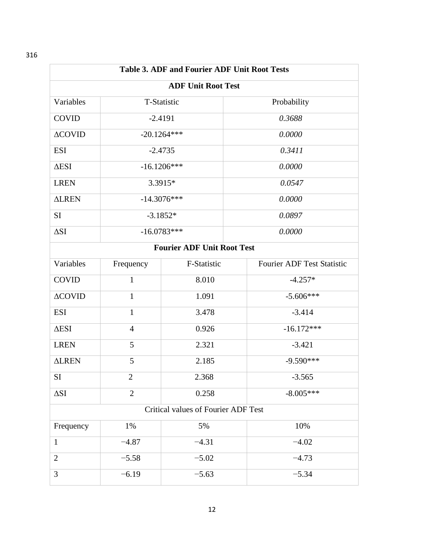**Table 3. ADF and Fourier ADF Unit Root Tests ADF Unit Root Test** Variables T-Statistic Probability COVID -2.4191 *0.3688* ΔCOVID -20.1264\*\*\* *0.0000* ESI -2.4735 *0.3411* ΔESI -16.1206\*\*\* *0.0000* LREN 3.3915\* *0.0547* ΔLREN -14.3076\*\*\* *0.0000* SI  $-3.1852*$   $0.0897$ ΔSI -16.0783\*\*\* *0.0000* **Fourier ADF Unit Root Test** Variables Frequency F-Statistic Fourier ADF Test Statistic  $\text{COVID}$  1 8.010  $-4.257^*$  $\triangle$ COVID 1 1.091 -5.606\*\*\* ESI 1 3.478 -3.414  $\triangle ESI$  4 0.926 -16.172\*\*\* LREN  $\begin{array}{|c|c|c|c|c|c|c|c|} \hline 5 & 2.321 & 3.421 \ \hline \end{array}$ ΔLREN 5 2.185 -9.590\*\*\*  $SI$  2 2.368  $-3.565$  $\Delta SI$  2 0.258 -8.005\*\*\* Critical values of Fourier ADF Test Frequency 1% 1% 5% 10% 1  $-4.87$   $-4.31$   $-4.02$ 2  $-5.58$   $-5.02$   $-4.73$ 3  $-6.19$   $-5.63$   $-5.34$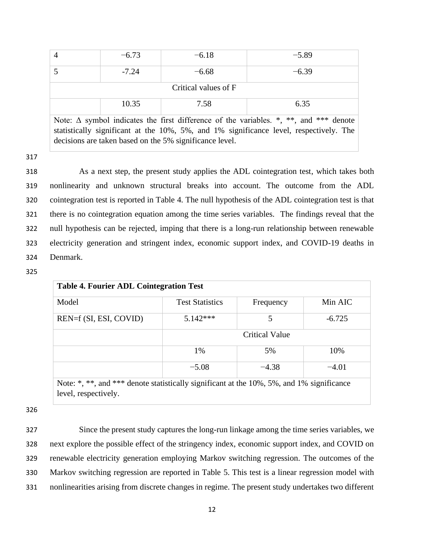|                                                                                              | $-6.73$ | $-6.18$ | $-5.89$ |  |  |  |  |
|----------------------------------------------------------------------------------------------|---------|---------|---------|--|--|--|--|
|                                                                                              | $-7.24$ | $-6.68$ | $-6.39$ |  |  |  |  |
| Critical values of F                                                                         |         |         |         |  |  |  |  |
| 10.35<br>6.35<br>7.58                                                                        |         |         |         |  |  |  |  |
| Note: $\Delta$ symbol indicates the first difference of the variables. *, **, and *** denote |         |         |         |  |  |  |  |

statistically significant at the 10%, 5%, and 1% significance level, respectively. The decisions are taken based on the 5% significance level.

317

 As a next step, the present study applies the ADL cointegration test, which takes both nonlinearity and unknown structural breaks into account. The outcome from the ADL cointegration test is reported in Table 4. The null hypothesis of the ADL cointegration test is that there is no cointegration equation among the time series variables. The findings reveal that the null hypothesis can be rejected, imping that there is a long-run relationship between renewable electricity generation and stringent index, economic support index, and COVID-19 deaths in Denmark.

325

| <b>Table 4. Fourier ADL Cointegration Test</b> |                        |                       |          |  |  |
|------------------------------------------------|------------------------|-----------------------|----------|--|--|
| Model                                          | <b>Test Statistics</b> | Frequency             | Min AIC  |  |  |
| REN=f (SI, ESI, COVID)                         | $5.142***$             | 5                     | $-6.725$ |  |  |
|                                                |                        | <b>Critical Value</b> |          |  |  |
|                                                | 1%                     | 5%                    | 10%      |  |  |
|                                                | $-5.08$                | $-4.38$               | $-4.01$  |  |  |

Note: \*, \*\*, and \*\*\* denote statistically significant at the 10%, 5%, and 1% significance level, respectively.

326

 Since the present study captures the long-run linkage among the time series variables, we next explore the possible effect of the stringency index, economic support index, and COVID on renewable electricity generation employing Markov switching regression. The outcomes of the Markov switching regression are reported in Table 5. This test is a linear regression model with nonlinearities arising from discrete changes in regime. The present study undertakes two different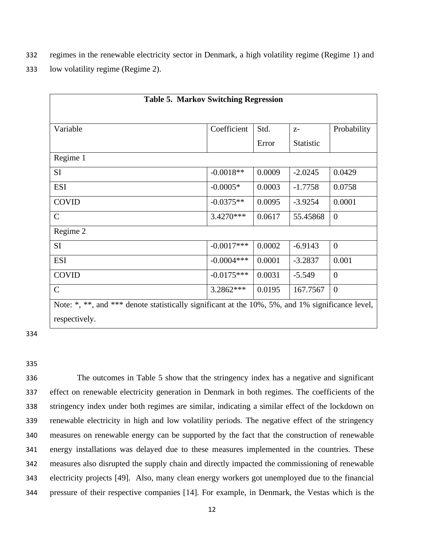332 regimes in the renewable electricity sector in Denmark, a high volatility regime (Regime 1) and

333 low volatility regime (Regime 2).

| <b>Table 5. Markov Switching Regression</b>                                                      |              |        |           |                |  |
|--------------------------------------------------------------------------------------------------|--------------|--------|-----------|----------------|--|
|                                                                                                  |              |        |           |                |  |
| Variable                                                                                         | Coefficient  | Std.   |           | Probability    |  |
|                                                                                                  |              |        | $Z-$      |                |  |
|                                                                                                  |              | Error  | Statistic |                |  |
| Regime 1                                                                                         |              |        |           |                |  |
| SI <sub>1</sub>                                                                                  | $-0.0018**$  | 0.0009 | $-2.0245$ | 0.0429         |  |
| <b>ESI</b>                                                                                       | $-0.0005*$   | 0.0003 | $-1.7758$ | 0.0758         |  |
| <b>COVID</b>                                                                                     | $-0.0375**$  | 0.0095 | $-3.9254$ | 0.0001         |  |
| $\mathsf{C}$                                                                                     | $3.4270***$  | 0.0617 | 55.45868  | $\overline{0}$ |  |
| Regime 2                                                                                         |              |        |           |                |  |
| <b>SI</b>                                                                                        | $-0.0017***$ | 0.0002 | $-6.9143$ | $\overline{0}$ |  |
| <b>ESI</b>                                                                                       | $-0.0004***$ | 0.0001 | $-3.2837$ | 0.001          |  |
| <b>COVID</b>                                                                                     | $-0.0175***$ | 0.0031 | $-5.549$  | $\overline{0}$ |  |
| $\mathcal{C}$                                                                                    | 3.2862***    | 0.0195 | 167.7567  | $\overline{0}$ |  |
| Note: *, **, and *** denote statistically significant at the 10%, 5%, and 1% significance level, |              |        |           |                |  |
| respectively.                                                                                    |              |        |           |                |  |
|                                                                                                  |              |        |           |                |  |

334

#### 335

 The outcomes in Table 5 show that the stringency index has a negative and significant effect on renewable electricity generation in Denmark in both regimes. The coefficients of the stringency index under both regimes are similar, indicating a similar effect of the lockdown on renewable electricity in high and low volatility periods. The negative effect of the stringency measures on renewable energy can be supported by the fact that the construction of renewable energy installations was delayed due to these measures implemented in the countries. These measures also disrupted the supply chain and directly impacted the commissioning of renewable electricity projects [49]. Also, many clean energy workers got unemployed due to the financial pressure of their respective companies [14]. For example, in Denmark, the Vestas which is the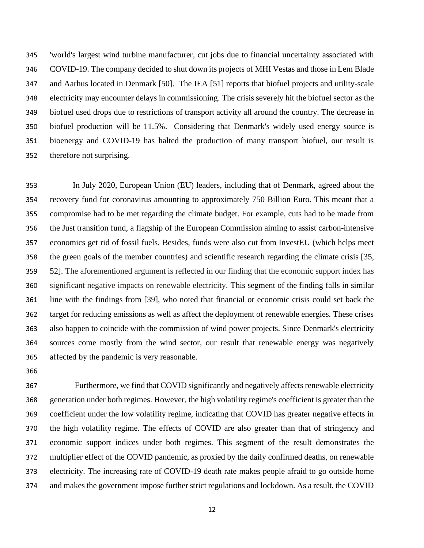'world's largest wind turbine manufacturer, cut jobs due to financial uncertainty associated with COVID-19. The company decided to shut down its projects of MHI Vestas and those in Lem Blade and Aarhus located in Denmark [50]. The IEA [51] reports that biofuel projects and utility-scale electricity may encounter delays in commissioning. The crisis severely hit the biofuel sector as the biofuel used drops due to restrictions of transport activity all around the country. The decrease in biofuel production will be 11.5%. Considering that Denmark's widely used energy source is bioenergy and COVID-19 has halted the production of many transport biofuel, our result is therefore not surprising.

 In July 2020, European Union (EU) leaders, including that of Denmark, agreed about the recovery fund for coronavirus amounting to approximately 750 Billion Euro. This meant that a compromise had to be met regarding the climate budget. For example, cuts had to be made from the Just transition fund, a flagship of the European Commission aiming to assist carbon-intensive economics get rid of fossil fuels. Besides, funds were also cut from InvestEU (which helps meet the green goals of the member countries) and scientific research regarding the climate crisis [35, 52]. The aforementioned argument is reflected in our finding that the economic support index has significant negative impacts on renewable electricity. This segment of the finding falls in similar line with the findings from [39], who noted that financial or economic crisis could set back the target for reducing emissions as well as affect the deployment of renewable energies. These crises also happen to coincide with the commission of wind power projects. Since Denmark's electricity sources come mostly from the wind sector, our result that renewable energy was negatively affected by the pandemic is very reasonable.

367 Furthermore, we find that COVID significantly and negatively affects renewable electricity generation under both regimes. However, the high volatility regime's coefficient is greater than the coefficient under the low volatility regime, indicating that COVID has greater negative effects in the high volatility regime. The effects of COVID are also greater than that of stringency and economic support indices under both regimes. This segment of the result demonstrates the multiplier effect of the COVID pandemic, as proxied by the daily confirmed deaths, on renewable electricity. The increasing rate of COVID-19 death rate makes people afraid to go outside home and makes the government impose further strict regulations and lockdown. As a result, the COVID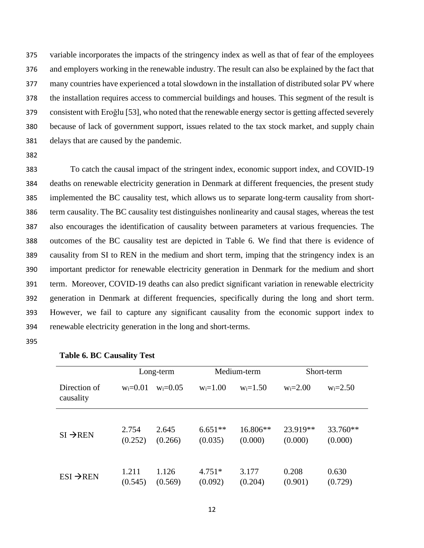variable incorporates the impacts of the stringency index as well as that of fear of the employees and employers working in the renewable industry. The result can also be explained by the fact that many countries have experienced a total slowdown in the installation of distributed solar PV where the installation requires access to commercial buildings and houses. This segment of the result is consistent with Eroğlu [53], who noted that the renewable energy sector is getting affected severely because of lack of government support, issues related to the tax stock market, and supply chain delays that are caused by the pandemic.

382

To catch the causal impact of the stringent index, economic support index, and COVID-19 deaths on renewable electricity generation in Denmark at different frequencies, the present study implemented the BC causality test, which allows us to separate long-term causality from short- term causality. The BC causality test distinguishes nonlinearity and causal stages, whereas the test also encourages the identification of causality between parameters at various frequencies. The outcomes of the BC causality test are depicted in Table 6. We find that there is evidence of causality from SI to REN in the medium and short term, imping that the stringency index is an important predictor for renewable electricity generation in Denmark for the medium and short term. Moreover, COVID-19 deaths can also predict significant variation in renewable electricity generation in Denmark at different frequencies, specifically during the long and short term. However, we fail to capture any significant causality from the economic support index to renewable electricity generation in the long and short-terms.

395

|                           |                  | Long-term        |                      | Medium-term         |                     | Short-term          |  |
|---------------------------|------------------|------------------|----------------------|---------------------|---------------------|---------------------|--|
| Direction of<br>causality | $w_i = 0.01$     | $w_i = 0.05$     | $w_i = 1.00$         | $w_i = 1.50$        | $w_i = 2.00$        | $w_i = 2.50$        |  |
| $SI \rightarrow REN$      | 2.754<br>(0.252) | 2.645<br>(0.266) | $6.651**$<br>(0.035) | 16.806**<br>(0.000) | 23.919**<br>(0.000) | 33.760**<br>(0.000) |  |
| $ESI \rightarrow REN$     | 1.211<br>(0.545) | 1.126<br>(0.569) | $4.751*$<br>(0.092)  | 3.177<br>(0.204)    | 0.208<br>(0.901)    | 0.630<br>(0.729)    |  |

# **Table 6. BC Causality Test**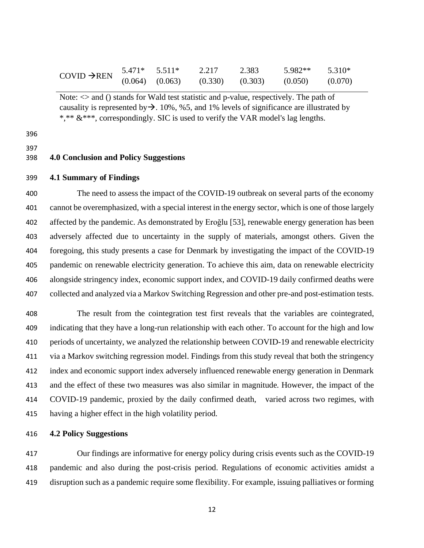| $COVID \rightarrow REN$ | $5.471*$ $5.511*$   | 2.217               | 2.383 | 5.982** | 5.310*  |
|-------------------------|---------------------|---------------------|-------|---------|---------|
|                         | $(0.064)$ $(0.063)$ | $(0.330)$ $(0.303)$ |       | (0.050) | (0.070) |

Note:  $\Diamond$  and () stands for Wald test statistic and p-value, respectively. The path of causality is represented by  $\rightarrow$ . 10%, %5, and 1% levels of significance are illustrated by \*,\*\* &\*\*\*, correspondingly. SIC is used to verify the VAR model's lag lengths.

# 

# **4.0 Conclusion and Policy Suggestions**

#### **4.1 Summary of Findings**

 The need to assess the impact of the COVID-19 outbreak on several parts of the economy cannot be overemphasized, with a special interest in the energy sector, which is one of those largely affected by the pandemic. As demonstrated by Eroğlu [53], renewable energy generation has been adversely affected due to uncertainty in the supply of materials, amongst others. Given the foregoing, this study presents a case for Denmark by investigating the impact of the COVID-19 pandemic on renewable electricity generation. To achieve this aim, data on renewable electricity alongside stringency index, economic support index, and COVID-19 daily confirmed deaths were collected and analyzed via a Markov Switching Regression and other pre-and post-estimation tests.

 The result from the cointegration test first reveals that the variables are cointegrated, indicating that they have a long-run relationship with each other. To account for the high and low periods of uncertainty, we analyzed the relationship between COVID-19 and renewable electricity via a Markov switching regression model. Findings from this study reveal that both the stringency index and economic support index adversely influenced renewable energy generation in Denmark and the effect of these two measures was also similar in magnitude. However, the impact of the COVID-19 pandemic, proxied by the daily confirmed death, varied across two regimes, with having a higher effect in the high volatility period.

## **4.2 Policy Suggestions**

 Our findings are informative for energy policy during crisis events such as the COVID-19 pandemic and also during the post-crisis period. Regulations of economic activities amidst a disruption such as a pandemic require some flexibility. For example, issuing palliatives or forming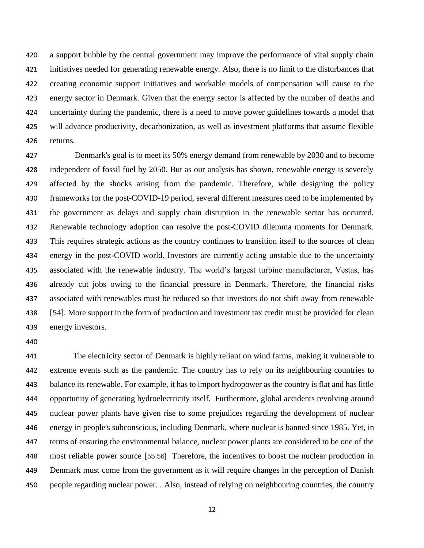a support bubble by the central government may improve the performance of vital supply chain initiatives needed for generating renewable energy. Also, there is no limit to the disturbances that creating economic support initiatives and workable models of compensation will cause to the energy sector in Denmark. Given that the energy sector is affected by the number of deaths and uncertainty during the pandemic, there is a need to move power guidelines towards a model that will advance productivity, decarbonization, as well as investment platforms that assume flexible returns.

 Denmark's goal is to meet its 50% energy demand from renewable by 2030 and to become independent of fossil fuel by 2050. But as our analysis has shown, renewable energy is severely affected by the shocks arising from the pandemic. Therefore, while designing the policy frameworks for the post-COVID-19 period, several different measures need to be implemented by the government as delays and supply chain disruption in the renewable sector has occurred. Renewable technology adoption can resolve the post-COVID dilemma moments for Denmark. This requires strategic actions as the country continues to transition itself to the sources of clean energy in the post-COVID world. Investors are currently acting unstable due to the uncertainty associated with the renewable industry. The world's largest turbine manufacturer, Vestas, has already cut jobs owing to the financial pressure in Denmark. Therefore, the financial risks associated with renewables must be reduced so that investors do not shift away from renewable [54]. More support in the form of production and investment tax credit must be provided for clean energy investors.

 The electricity sector of Denmark is highly reliant on wind farms, making it vulnerable to extreme events such as the pandemic. The country has to rely on its neighbouring countries to balance its renewable. For example, it has to import hydropower as the country is flat and has little opportunity of generating hydroelectricity itself. Furthermore, global accidents revolving around nuclear power plants have given rise to some prejudices regarding the development of nuclear energy in people's subconscious, including Denmark, where nuclear is banned since 1985. Yet, in terms of ensuring the environmental balance, nuclear power plants are considered to be one of the most reliable power source [55,56] Therefore, the incentives to boost the nuclear production in Denmark must come from the government as it will require changes in the perception of Danish people regarding nuclear power. . Also, instead of relying on neighbouring countries, the country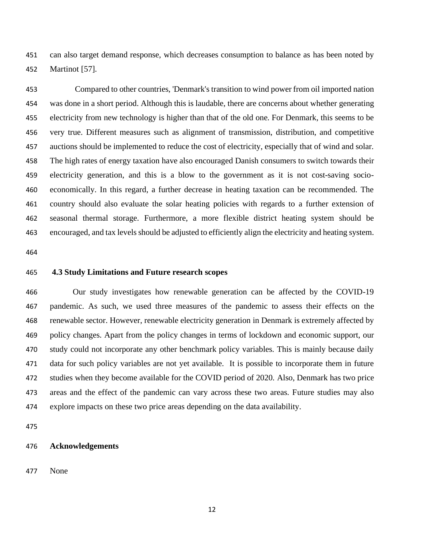can also target demand response, which decreases consumption to balance as has been noted by Martinot [57].

 Compared to other countries, 'Denmark's transition to wind power from oil imported nation was done in a short period. Although this is laudable, there are concerns about whether generating electricity from new technology is higher than that of the old one. For Denmark, this seems to be very true. Different measures such as alignment of transmission, distribution, and competitive auctions should be implemented to reduce the cost of electricity, especially that of wind and solar. The high rates of energy taxation have also encouraged Danish consumers to switch towards their electricity generation, and this is a blow to the government as it is not cost-saving socio- economically. In this regard, a further decrease in heating taxation can be recommended. The country should also evaluate the solar heating policies with regards to a further extension of seasonal thermal storage. Furthermore, a more flexible district heating system should be encouraged, and tax levels should be adjusted to efficiently align the electricity and heating system.

# **4.3 Study Limitations and Future research scopes**

 Our study investigates how renewable generation can be affected by the COVID-19 pandemic. As such, we used three measures of the pandemic to assess their effects on the renewable sector. However, renewable electricity generation in Denmark is extremely affected by policy changes. Apart from the policy changes in terms of lockdown and economic support, our study could not incorporate any other benchmark policy variables. This is mainly because daily data for such policy variables are not yet available. It is possible to incorporate them in future studies when they become available for the COVID period of 2020. Also, Denmark has two price areas and the effect of the pandemic can vary across these two areas. Future studies may also explore impacts on these two price areas depending on the data availability.

# **Acknowledgements**

None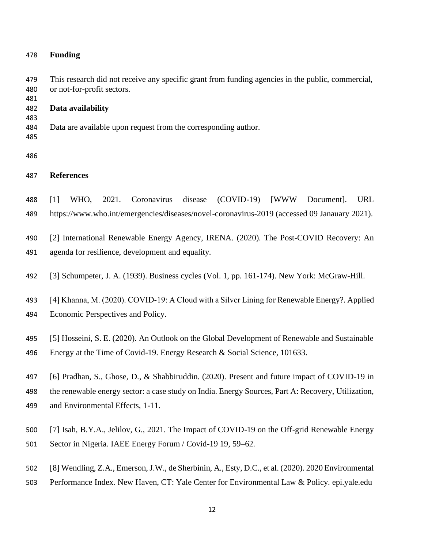## **Funding**

 This research did not receive any specific grant from funding agencies in the public, commercial, or not-for-profit sectors.

**Data availability**

Data are available upon request from the corresponding author.

# **References**

 [1] WHO, 2021. Coronavirus disease (COVID-19) [WWW Document]. URL https://www.who.int/emergencies/diseases/novel-coronavirus-2019 (accessed 09 Janauary 2021).

[2] International Renewable Energy Agency, IRENA. (2020). The Post-COVID Recovery: An

- agenda for resilience, development and equality.
- [3] Schumpeter, J. A. (1939). Business cycles (Vol. 1, pp. 161-174). New York: McGraw-Hill.

493 [4] Khanna, M. (2020). COVID-19: A Cloud with a Silver Lining for Renewable Energy?. Applied

- Economic Perspectives and Policy.
- [5] Hosseini, S. E. (2020). An Outlook on the Global Development of Renewable and Sustainable Energy at the Time of Covid-19. Energy Research & Social Science, 101633.
- [6] Pradhan, S., Ghose, D., & Shabbiruddin. (2020). Present and future impact of COVID-19 in the renewable energy sector: a case study on India. Energy Sources, Part A: Recovery, Utilization, and Environmental Effects, 1-11.
- [7] Isah, B.Y.A., Jelilov, G., 2021. The Impact of COVID-19 on the Off-grid Renewable Energy Sector in Nigeria. IAEE Energy Forum / Covid-19 19, 59–62.
- [8] Wendling, Z.A., Emerson, J.W., de Sherbinin, A., Esty, D.C., et al. (2020). 2020 Environmental
- Performance Index. New Haven, CT: Yale Center for Environmental Law & Policy. epi.yale.edu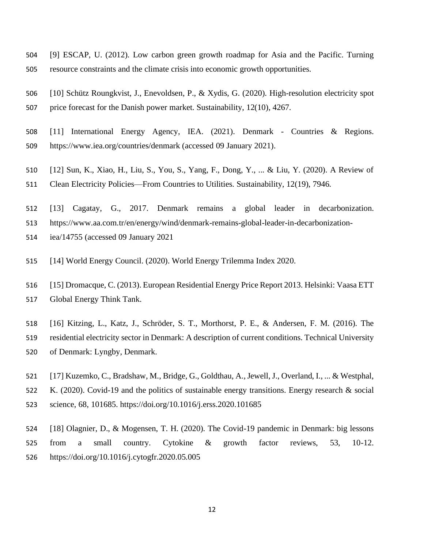- [9] ESCAP, U. (2012). Low carbon green growth roadmap for Asia and the Pacific. Turning resource constraints and the climate crisis into economic growth opportunities.
- [10] Schütz Roungkvist, J., Enevoldsen, P., & Xydis, G. (2020). High-resolution electricity spot price forecast for the Danish power market. Sustainability, 12(10), 4267.
- [11] International Energy Agency, IEA. (2021). Denmark Countries & Regions. https://www.iea.org/countries/denmark (accessed 09 January 2021).
- [12] Sun, K., Xiao, H., Liu, S., You, S., Yang, F., Dong, Y., ... & Liu, Y. (2020). A Review of
- Clean Electricity Policies—From Countries to Utilities. Sustainability, 12(19), 7946.
- [13] Cagatay, G., 2017. Denmark remains a global leader in decarbonization.
- https://www.aa.com.tr/en/energy/wind/denmark-remains-global-leader-in-decarbonization-
- iea/14755 (accessed 09 January 2021
- [14] World Energy Council. (2020). World Energy Trilemma Index 2020.
- [15] Dromacque, C. (2013). European Residential Energy Price Report 2013. Helsinki: Vaasa ETT Global Energy Think Tank.
- [16] Kitzing, L., Katz, J., Schröder, S. T., Morthorst, P. E., & Andersen, F. M. (2016). The residential electricity sector in Denmark: A description of current conditions. Technical University of Denmark: Lyngby, Denmark.
- [17] Kuzemko, C., Bradshaw, M., Bridge, G., Goldthau, A., Jewell, J., Overland, I., ... & Westphal, K. (2020). Covid-19 and the politics of sustainable energy transitions. Energy research & social science, 68, 101685. https://doi.org/10.1016/j.erss.2020.101685
- [18] Olagnier, D., & Mogensen, T. H. (2020). The Covid-19 pandemic in Denmark: big lessons 525 from a small country. Cytokine & growth factor reviews, 53, 10-12. https://doi.org/10.1016/j.cytogfr.2020.05.005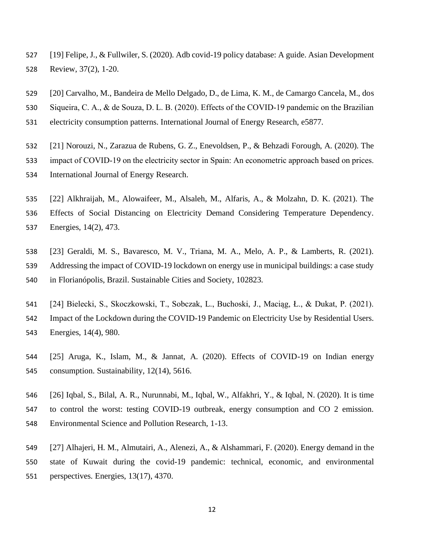- [19] Felipe, J., & Fullwiler, S. (2020). Adb covid-19 policy database: A guide. Asian Development Review, 37(2), 1-20.
- [20] Carvalho, M., Bandeira de Mello Delgado, D., de Lima, K. M., de Camargo Cancela, M., dos
- 530 Siqueira, C. A., & de Souza, D. L. B. (2020). Effects of the COVID-19 pandemic on the Brazilian
- electricity consumption patterns. International Journal of Energy Research, e5877.
- [21] Norouzi, N., Zarazua de Rubens, G. Z., Enevoldsen, P., & Behzadi Forough, A. (2020). The
- 533 impact of COVID-19 on the electricity sector in Spain: An econometric approach based on prices.
- International Journal of Energy Research.
- [22] Alkhraijah, M., Alowaifeer, M., Alsaleh, M., Alfaris, A., & Molzahn, D. K. (2021). The Effects of Social Distancing on Electricity Demand Considering Temperature Dependency. Energies, 14(2), 473.
- [23] Geraldi, M. S., Bavaresco, M. V., Triana, M. A., Melo, A. P., & Lamberts, R. (2021). Addressing the impact of COVID-19 lockdown on energy use in municipal buildings: a case study in Florianópolis, Brazil. Sustainable Cities and Society, 102823.
- [24] Bielecki, S., Skoczkowski, T., Sobczak, L., Buchoski, J., Maciąg, Ł., & Dukat, P. (2021). Impact of the Lockdown during the COVID-19 Pandemic on Electricity Use by Residential Users. Energies, 14(4), 980.
- [25] Aruga, K., Islam, M., & Jannat, A. (2020). Effects of COVID-19 on Indian energy consumption. Sustainability, 12(14), 5616.
- [26] Iqbal, S., Bilal, A. R., Nurunnabi, M., Iqbal, W., Alfakhri, Y., & Iqbal, N. (2020). It is time to control the worst: testing COVID-19 outbreak, energy consumption and CO 2 emission. Environmental Science and Pollution Research, 1-13.
- [27] Alhajeri, H. M., Almutairi, A., Alenezi, A., & Alshammari, F. (2020). Energy demand in the state of Kuwait during the covid-19 pandemic: technical, economic, and environmental perspectives. Energies, 13(17), 4370.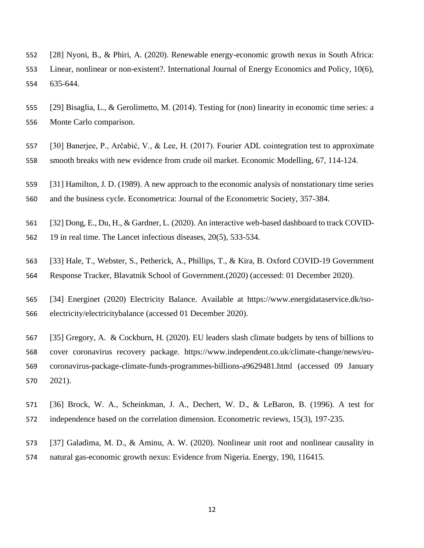- [28] Nyoni, B., & Phiri, A. (2020). Renewable energy-economic growth nexus in South Africa: Linear, nonlinear or non-existent?. International Journal of Energy Economics and Policy, 10(6), 635-644.
- [29] Bisaglia, L., & Gerolimetto, M. (2014). Testing for (non) linearity in economic time series: a Monte Carlo comparison.
- [30] Banerjee, P., Arčabić, V., & Lee, H. (2017). Fourier ADL cointegration test to approximate
- smooth breaks with new evidence from crude oil market. Economic Modelling, 67, 114-124.
- [31] Hamilton, J. D. (1989). A new approach to the economic analysis of nonstationary time series
- and the business cycle. Econometrica: Journal of the Econometric Society, 357-384.
- [32] Dong, E., Du, H., & Gardner, L. (2020). An interactive web-based dashboard to track COVID-
- 19 in real time. The Lancet infectious diseases, 20(5), 533-534.
- [33] Hale, T., Webster, S., Petherick, A., Phillips, T., & Kira, B. Oxford COVID-19 Government Response Tracker, Blavatnik School of Government.(2020) (accessed: 01 December 2020).
- [34] Energinet (2020) Electricity Balance. Available at https://www.energidataservice.dk/tso-electricity/electricitybalance (accessed 01 December 2020).
- [35] Gregory, A. & Cockburn, H. (2020). EU leaders slash climate budgets by tens of billions to cover coronavirus recovery package. https://www.independent.co.uk/climate-change/news/eu- coronavirus-package-climate-funds-programmes-billions-a9629481.html (accessed 09 January 2021).
- [36] Brock, W. A., Scheinkman, J. A., Dechert, W. D., & LeBaron, B. (1996). A test for independence based on the correlation dimension. Econometric reviews, 15(3), 197-235.
- [37] Galadima, M. D., & Aminu, A. W. (2020). Nonlinear unit root and nonlinear causality in natural gas-economic growth nexus: Evidence from Nigeria. Energy, 190, 116415.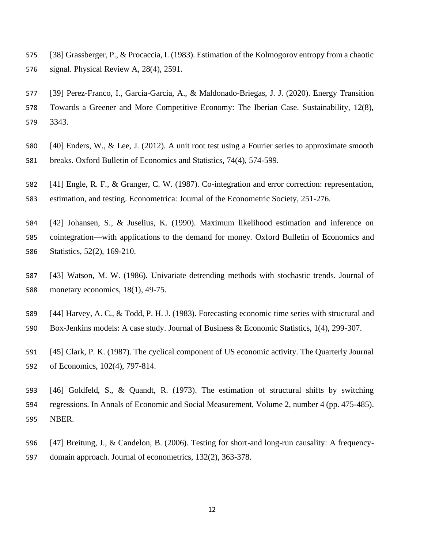[38] Grassberger, P., & Procaccia, I. (1983). Estimation of the Kolmogorov entropy from a chaotic signal. Physical Review A, 28(4), 2591.

 [39] Perez-Franco, I., Garcia-Garcia, A., & Maldonado-Briegas, J. J. (2020). Energy Transition Towards a Greener and More Competitive Economy: The Iberian Case. Sustainability, 12(8), 3343.

- [40] Enders, W., & Lee, J. (2012). A unit root test using a Fourier series to approximate smooth
- breaks. Oxford Bulletin of Economics and Statistics, 74(4), 574-599.
- [41] Engle, R. F., & Granger, C. W. (1987). Co-integration and error correction: representation, estimation, and testing. Econometrica: Journal of the Econometric Society, 251-276.
- [42] Johansen, S., & Juselius, K. (1990). Maximum likelihood estimation and inference on cointegration—with applications to the demand for money. Oxford Bulletin of Economics and Statistics, 52(2), 169-210.
- [43] Watson, M. W. (1986). Univariate detrending methods with stochastic trends. Journal of monetary economics, 18(1), 49-75.
- [44] Harvey, A. C., & Todd, P. H. J. (1983). Forecasting economic time series with structural and Box-Jenkins models: A case study. Journal of Business & Economic Statistics, 1(4), 299-307.
- [45] Clark, P. K. (1987). The cyclical component of US economic activity. The Quarterly Journal of Economics, 102(4), 797-814.
- [46] Goldfeld, S., & Quandt, R. (1973). The estimation of structural shifts by switching regressions. In Annals of Economic and Social Measurement, Volume 2, number 4 (pp. 475-485). NBER.
- [47] Breitung, J., & Candelon, B. (2006). Testing for short-and long-run causality: A frequency-domain approach. Journal of econometrics, 132(2), 363-378.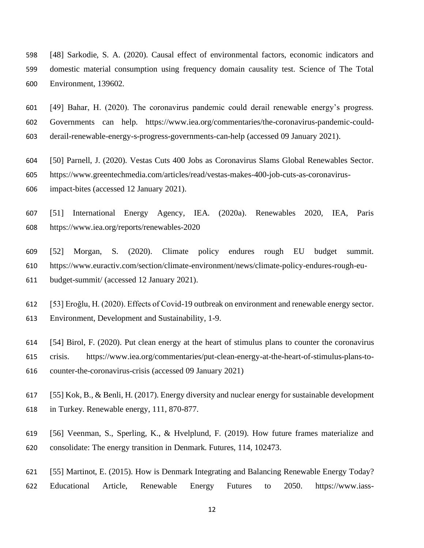- [48] Sarkodie, S. A. (2020). Causal effect of environmental factors, economic indicators and domestic material consumption using frequency domain causality test. Science of The Total Environment, 139602.
- [49] Bahar, H. (2020). The coronavirus pandemic could derail renewable energy's progress. Governments can help. https://www.iea.org/commentaries/the-coronavirus-pandemic-could-derail-renewable-energy-s-progress-governments-can-help (accessed 09 January 2021).
- [50] Parnell, J. (2020). Vestas Cuts 400 Jobs as Coronavirus Slams Global Renewables Sector.
- https://www.greentechmedia.com/articles/read/vestas-makes-400-job-cuts-as-coronavirus-
- impact-bites (accessed 12 January 2021).
- [51] International Energy Agency, IEA. (2020a). Renewables 2020, IEA, Paris https://www.iea.org/reports/renewables-2020
- [52] Morgan, S. (2020). Climate policy endures rough EU budget summit. https://www.euractiv.com/section/climate-environment/news/climate-policy-endures-rough-eu-budget-summit/ (accessed 12 January 2021).
- [53] Eroğlu, H. (2020). Effects of Covid-19 outbreak on environment and renewable energy sector. Environment, Development and Sustainability, 1-9.
- [54] Birol, F. (2020). Put clean energy at the heart of stimulus plans to counter the coronavirus crisis. https://www.iea.org/commentaries/put-clean-energy-at-the-heart-of-stimulus-plans-to-counter-the-coronavirus-crisis (accessed 09 January 2021)
- [55] Kok, B., & Benli, H. (2017). Energy diversity and nuclear energy for sustainable development in Turkey. Renewable energy, 111, 870-877.
- [56] Veenman, S., Sperling, K., & Hvelplund, F. (2019). How future frames materialize and consolidate: The energy transition in Denmark. Futures, 114, 102473.
- [55] Martinot, E. (2015). How is Denmark Integrating and Balancing Renewable Energy Today? Educational Article, Renewable Energy Futures to 2050. https://www.iass-